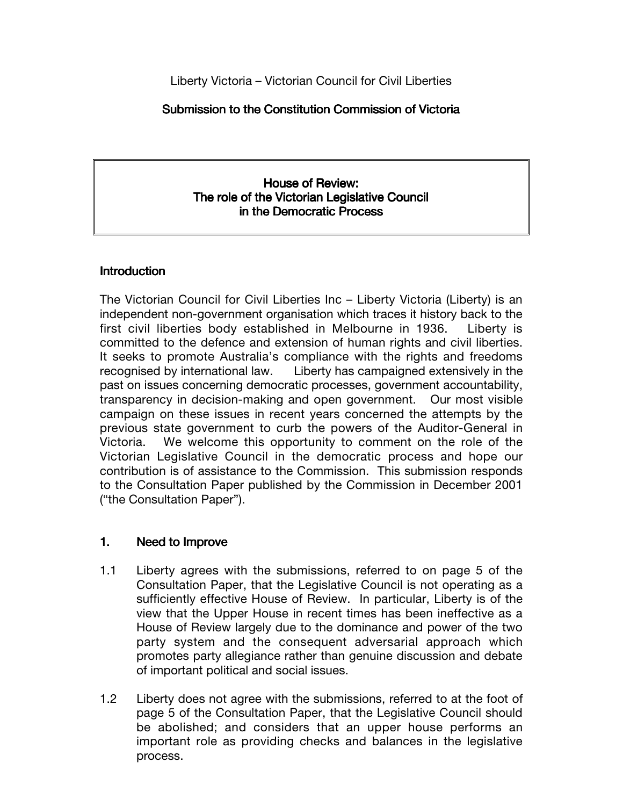Liberty Victoria – Victorian Council for Civil Liberties

#### Submission to the Constitution Commission of Victoria

#### House of Review: The role of the Victorian Legislative Council in the Democratic Process

#### **Introduction**

The Victorian Council for Civil Liberties Inc – Liberty Victoria (Liberty) is an independent non-government organisation which traces it history back to the first civil liberties body established in Melbourne in 1936. Liberty is committed to the defence and extension of human rights and civil liberties. It seeks to promote Australia's compliance with the rights and freedoms recognised by international law. Liberty has campaigned extensively in the past on issues concerning democratic processes, government accountability, transparency in decision-making and open government. Our most visible campaign on these issues in recent years concerned the attempts by the previous state government to curb the powers of the Auditor-General in Victoria. We welcome this opportunity to comment on the role of the Victorian Legislative Council in the democratic process and hope our contribution is of assistance to the Commission. This submission responds to the Consultation Paper published by the Commission in December 2001 ("the Consultation Paper").

## 1. Need to Improve

- 1.1 Liberty agrees with the submissions, referred to on page 5 of the Consultation Paper, that the Legislative Council is not operating as a sufficiently effective House of Review. In particular, Liberty is of the view that the Upper House in recent times has been ineffective as a House of Review largely due to the dominance and power of the two party system and the consequent adversarial approach which promotes party allegiance rather than genuine discussion and debate of important political and social issues.
- 1.2 Liberty does not agree with the submissions, referred to at the foot of page 5 of the Consultation Paper, that the Legislative Council should be abolished; and considers that an upper house performs an important role as providing checks and balances in the legislative process.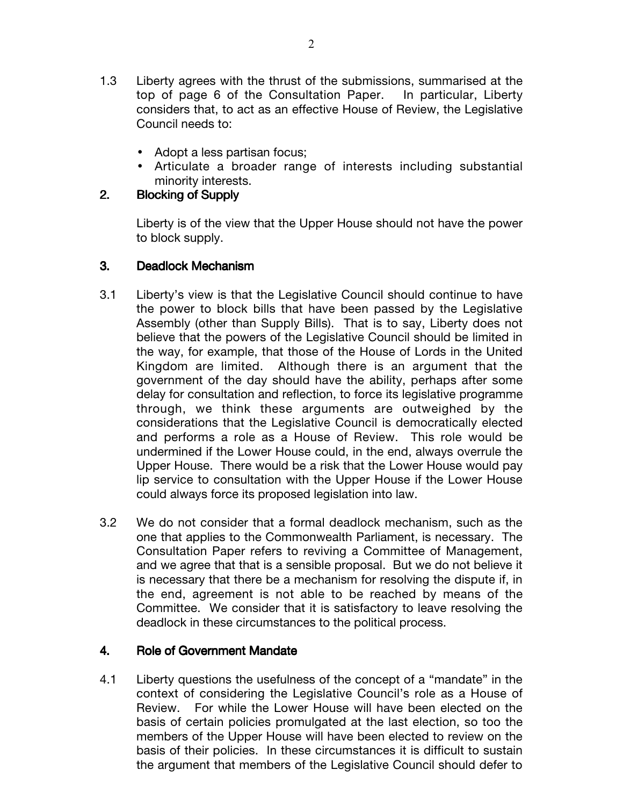- 1.3 Liberty agrees with the thrust of the submissions, summarised at the top of page 6 of the Consultation Paper. In particular, Liberty considers that, to act as an effective House of Review, the Legislative Council needs to:
	- Adopt a less partisan focus;
	- Articulate a broader range of interests including substantial minority interests.

## 2. Blocking of Supply

Liberty is of the view that the Upper House should not have the power to block supply.

## 3. Deadlock Mechanism

- 3.1 Liberty's view is that the Legislative Council should continue to have the power to block bills that have been passed by the Legislative Assembly (other than Supply Bills). That is to say, Liberty does not believe that the powers of the Legislative Council should be limited in the way, for example, that those of the House of Lords in the United Kingdom are limited. Although there is an argument that the government of the day should have the ability, perhaps after some delay for consultation and reflection, to force its legislative programme through, we think these arguments are outweighed by the considerations that the Legislative Council is democratically elected and performs a role as a House of Review. This role would be undermined if the Lower House could, in the end, always overrule the Upper House. There would be a risk that the Lower House would pay lip service to consultation with the Upper House if the Lower House could always force its proposed legislation into law.
- 3.2 We do not consider that a formal deadlock mechanism, such as the one that applies to the Commonwealth Parliament, is necessary. The Consultation Paper refers to reviving a Committee of Management, and we agree that that is a sensible proposal. But we do not believe it is necessary that there be a mechanism for resolving the dispute if, in the end, agreement is not able to be reached by means of the Committee. We consider that it is satisfactory to leave resolving the deadlock in these circumstances to the political process.

# 4. Role of Government Mandate

4.1 Liberty questions the usefulness of the concept of a "mandate" in the context of considering the Legislative Council's role as a House of Review. For while the Lower House will have been elected on the basis of certain policies promulgated at the last election, so too the members of the Upper House will have been elected to review on the basis of their policies. In these circumstances it is difficult to sustain the argument that members of the Legislative Council should defer to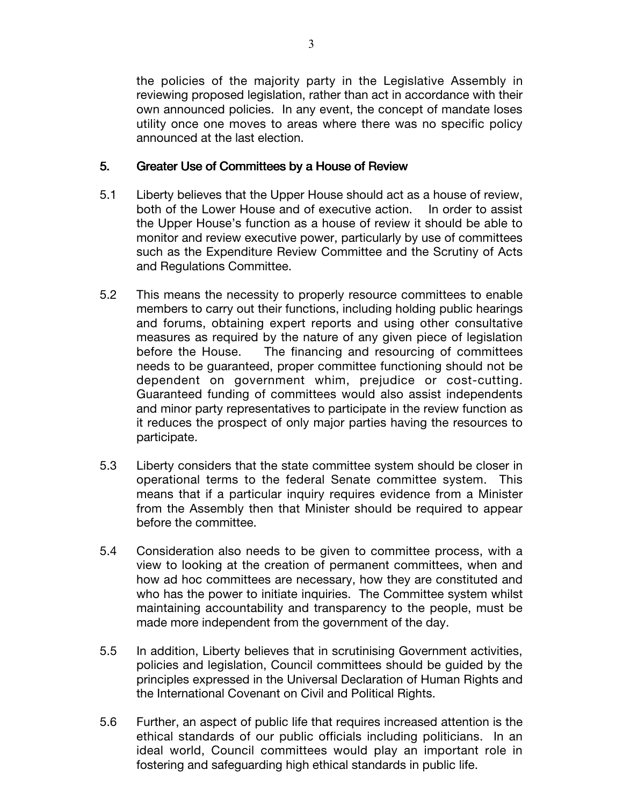the policies of the majority party in the Legislative Assembly in reviewing proposed legislation, rather than act in accordance with their own announced policies. In any event, the concept of mandate loses utility once one moves to areas where there was no specific policy announced at the last election.

#### 5. Greater Use of Committees by a House of Review

- 5.1 Liberty believes that the Upper House should act as a house of review, both of the Lower House and of executive action. In order to assist the Upper House's function as a house of review it should be able to monitor and review executive power, particularly by use of committees such as the Expenditure Review Committee and the Scrutiny of Acts and Regulations Committee.
- 5.2 This means the necessity to properly resource committees to enable members to carry out their functions, including holding public hearings and forums, obtaining expert reports and using other consultative measures as required by the nature of any given piece of legislation before the House. The financing and resourcing of committees needs to be guaranteed, proper committee functioning should not be dependent on government whim, prejudice or cost-cutting. Guaranteed funding of committees would also assist independents and minor party representatives to participate in the review function as it reduces the prospect of only major parties having the resources to participate.
- 5.3 Liberty considers that the state committee system should be closer in operational terms to the federal Senate committee system. This means that if a particular inquiry requires evidence from a Minister from the Assembly then that Minister should be required to appear before the committee.
- 5.4 Consideration also needs to be given to committee process, with a view to looking at the creation of permanent committees, when and how ad hoc committees are necessary, how they are constituted and who has the power to initiate inquiries. The Committee system whilst maintaining accountability and transparency to the people, must be made more independent from the government of the day.
- 5.5 In addition, Liberty believes that in scrutinising Government activities, policies and legislation, Council committees should be guided by the principles expressed in the Universal Declaration of Human Rights and the International Covenant on Civil and Political Rights.
- 5.6 Further, an aspect of public life that requires increased attention is the ethical standards of our public officials including politicians. In an ideal world, Council committees would play an important role in fostering and safeguarding high ethical standards in public life.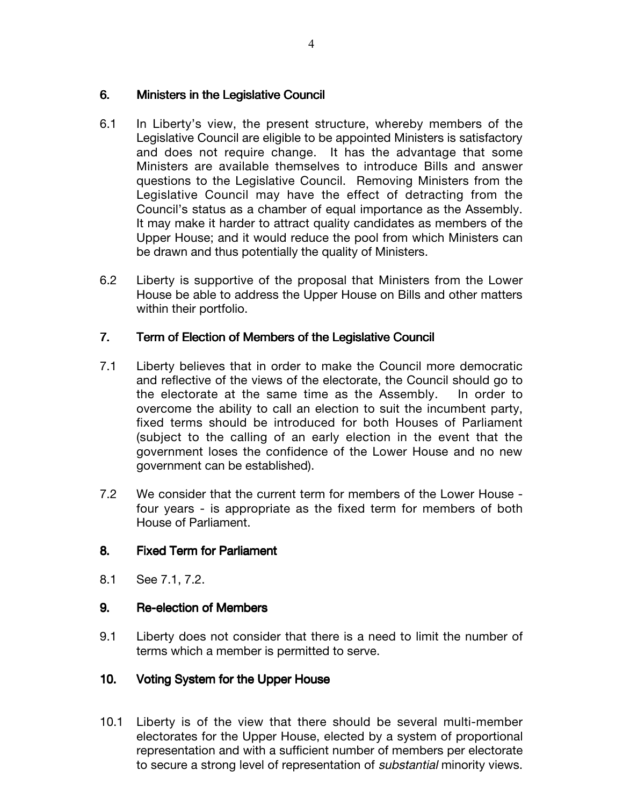#### 6. Ministers in the Legislative Council

- 6.1 In Liberty's view, the present structure, whereby members of the Legislative Council are eligible to be appointed Ministers is satisfactory and does not require change. It has the advantage that some Ministers are available themselves to introduce Bills and answer questions to the Legislative Council. Removing Ministers from the Legislative Council may have the effect of detracting from the Council's status as a chamber of equal importance as the Assembly. It may make it harder to attract quality candidates as members of the Upper House; and it would reduce the pool from which Ministers can be drawn and thus potentially the quality of Ministers.
- 6.2 Liberty is supportive of the proposal that Ministers from the Lower House be able to address the Upper House on Bills and other matters within their portfolio.

## 7. Term of Election of Members of the Legislative Council

- 7.1 Liberty believes that in order to make the Council more democratic and reflective of the views of the electorate, the Council should go to the electorate at the same time as the Assembly. In order to overcome the ability to call an election to suit the incumbent party, fixed terms should be introduced for both Houses of Parliament (subject to the calling of an early election in the event that the government loses the confidence of the Lower House and no new government can be established).
- 7.2 We consider that the current term for members of the Lower House four years - is appropriate as the fixed term for members of both House of Parliament.

## 8. Fixed Term for Parliament

8.1 See 7.1, 7.2.

## 9. Re-election of Members

9.1 Liberty does not consider that there is a need to limit the number of terms which a member is permitted to serve.

## 10. Voting System for the Upper House

10.1 Liberty is of the view that there should be several multi-member electorates for the Upper House, elected by a system of proportional representation and with a sufficient number of members per electorate to secure a strong level of representation of substantial minority views.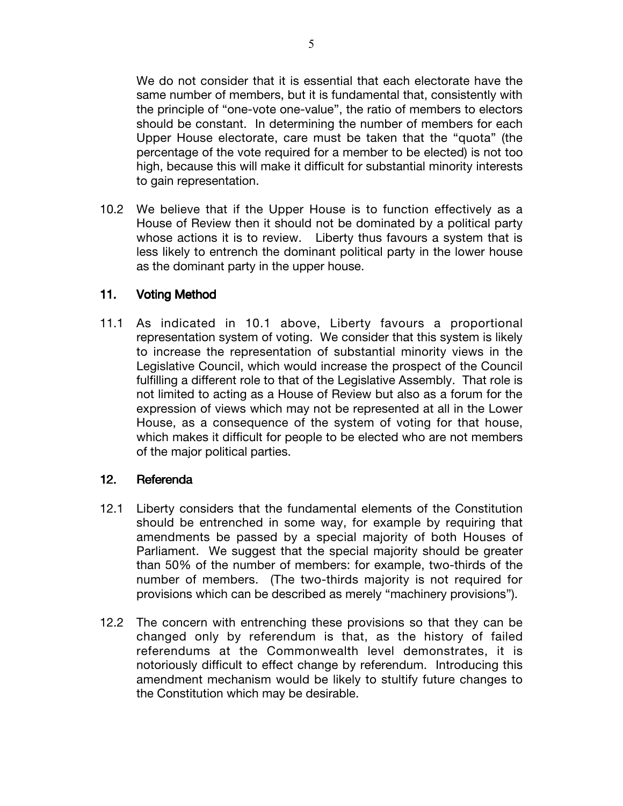We do not consider that it is essential that each electorate have the same number of members, but it is fundamental that, consistently with the principle of "one-vote one-value", the ratio of members to electors should be constant. In determining the number of members for each Upper House electorate, care must be taken that the "quota" (the percentage of the vote required for a member to be elected) is not too high, because this will make it difficult for substantial minority interests to gain representation.

10.2 We believe that if the Upper House is to function effectively as a House of Review then it should not be dominated by a political party whose actions it is to review. Liberty thus favours a system that is less likely to entrench the dominant political party in the lower house as the dominant party in the upper house.

## 11. Voting Method

11.1 As indicated in 10.1 above, Liberty favours a proportional representation system of voting. We consider that this system is likely to increase the representation of substantial minority views in the Legislative Council, which would increase the prospect of the Council fulfilling a different role to that of the Legislative Assembly. That role is not limited to acting as a House of Review but also as a forum for the expression of views which may not be represented at all in the Lower House, as a consequence of the system of voting for that house, which makes it difficult for people to be elected who are not members of the major political parties.

## 12. Referenda

- 12.1 Liberty considers that the fundamental elements of the Constitution should be entrenched in some way, for example by requiring that amendments be passed by a special majority of both Houses of Parliament. We suggest that the special majority should be greater than 50% of the number of members: for example, two-thirds of the number of members. (The two-thirds majority is not required for provisions which can be described as merely "machinery provisions").
- 12.2 The concern with entrenching these provisions so that they can be changed only by referendum is that, as the history of failed referendums at the Commonwealth level demonstrates, it is notoriously difficult to effect change by referendum. Introducing this amendment mechanism would be likely to stultify future changes to the Constitution which may be desirable.